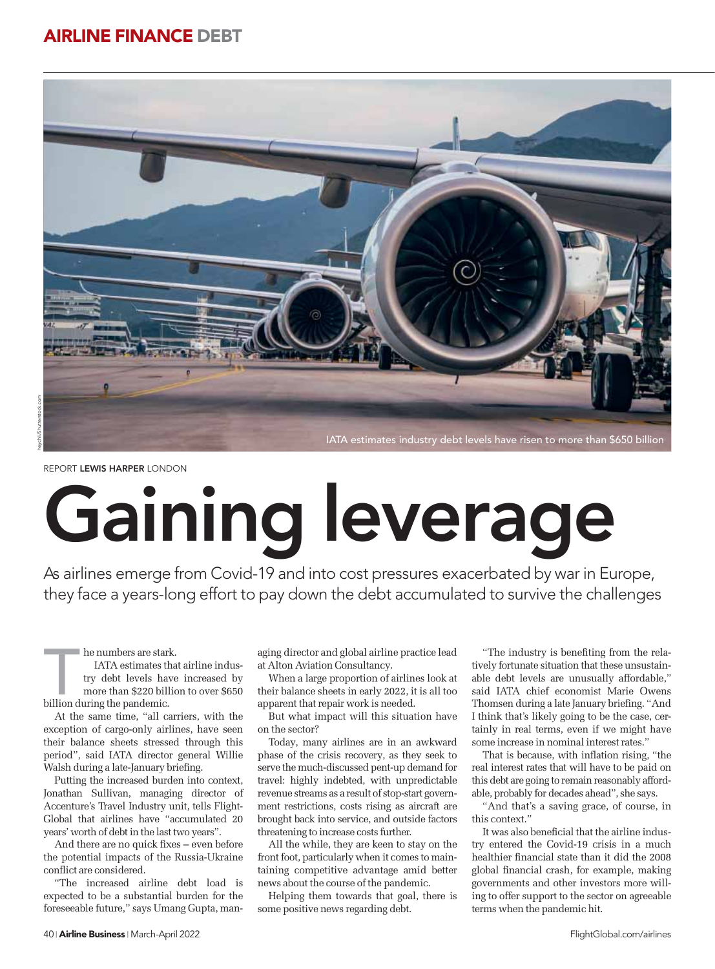# **AIRLINE FINANCE DEBT**



IATA estimates industry debt levels have risen to more than \$650 billion

# Gaining leverage

As airlines emerge from Covid-19 and into cost pressures exacerbated by war in Europe, they face a years-long effort to pay down the debt accumulated to survive the challenges As airlines emerge from Covid-19 and into cost pressures exacerbated by war in Eu<br>they face a years-long effort to pay down the debt accumulated to survive the chall

he numbers are stark.<br>IATA estimates that try debt levels have more than \$220 billion IATA estimates that airline industry debt levels have increased by more than \$220 billion to over \$650 billion during the pandemic.

At the same time, "all carriers, with the exception of cargo-only airlines, have seen their balance sheets stressed through this period", said IATA director general Willie Walsh during a late-January briefing.

Putting the increased burden into context, Jonathan Sullivan, managing director of Accenture's Travel Industry unit, tells Flight-Global that airlines have "accumulated 20 years' worth of debt in the last two years".

And there are no quick fixes – even before the potential impacts of the Russia-Ukraine conflict are considered.

"The increased airline debt load is expected to be a substantial burden for the foreseeable future," says Umang Gupta, managing director and global airline practice lead at Alton Aviation Consultancy.

When a large proportion of airlines look at their balance sheets in early 2022, it is all too apparent that repair work is needed.

But what impact will this situation have on the sector?

Today, many airlines are in an awkward phase of the crisis recovery, as they seek to serve the much-discussed pent-up demand for travel: highly indebted, with unpredictable revenue streams as a result of stop-start government restrictions, costs rising as aircraft are brought back into service, and outside factors threatening to increase costs further.

All the while, they are keen to stay on the front foot, particularly when it comes to maintaining competitive advantage amid better news about the course of the pandemic.

Helping them towards that goal, there is some positive news regarding debt.

"The industry is benefiting from the relatively fortunate situation that these unsustainable debt levels are unusually affordable," said IATA chief economist Marie Owens Thomsen during a late January briefing. "And I think that's likely going to be the case, certainly in real terms, even if we might have some increase in nominal interest rates."

That is because, with inflation rising, "the real interest rates that will have to be paid on this debt are going to remain reasonably affordable, probably for decades ahead", she says.

"And that's a saving grace, of course, in this context."

It was also beneficial that the airline industry entered the Covid-19 crisis in a much healthier financial state than it did the 2008 global financial crash, for example, making governments and other investors more willing to offer support to the sector on agreeable terms when the pandemic hit.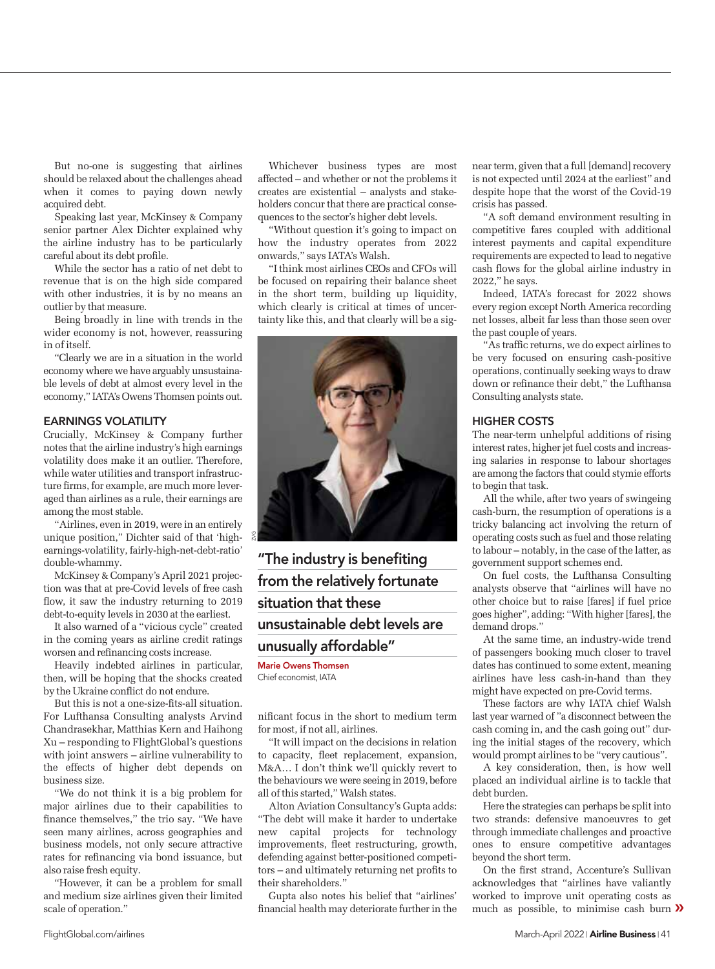But no-one is suggesting that airlines should be relaxed about the challenges ahead when it comes to paying down newly acquired debt.

Speaking last year, McKinsey & Company senior partner Alex Dichter explained why the airline industry has to be particularly careful about its debt profile.

While the sector has a ratio of net debt to revenue that is on the high side compared with other industries, it is by no means an outlier by that measure.

Being broadly in line with trends in the wider economy is not, however, reassuring in of itself.

"Clearly we are in a situation in the world economy where we have arguably unsustainable levels of debt at almost every level in the economy," IATA's Owens Thomsen points out.

### **EARNINGS VOLATILITY**

Crucially, McKinsey & Company further notes that the airline industry's high earnings volatility does make it an outlier. Therefore, while water utilities and transport infrastructure firms, for example, are much more leveraged than airlines as a rule, their earnings are among the most stable.

"Airlines, even in 2019, were in an entirely unique position," Dichter said of that 'highearnings-volatility, fairly-high-net-debt-ratio' double-whammy.

McKinsey & Company's April 2021 projection was that at pre-Covid levels of free cash flow, it saw the industry returning to 2019 debt-to-equity levels in 2030 at the earliest.

It also warned of a "vicious cycle" created in the coming years as airline credit ratings worsen and refinancing costs increase.

Heavily indebted airlines in particular, then, will be hoping that the shocks created by the Ukraine conflict do not endure.

But this is not a one-size-fits-all situation. For Lufthansa Consulting analysts Arvind Chandrasekhar, Matthias Kern and Haihong Xu – responding to FlightGlobal's questions with joint answers – airline vulnerability to the effects of higher debt depends on business size.

"We do not think it is a big problem for major airlines due to their capabilities to finance themselves," the trio say. "We have seen many airlines, across geographies and business models, not only secure attractive rates for refinancing via bond issuance, but also raise fresh equity.

"However, it can be a problem for small and medium size airlines given their limited scale of operation."

Whichever business types are most affected – and whether or not the problems it creates are existential – analysts and stakeholders concur that there are practical consequences to the sector's higher debt levels.

"Without question it's going to impact on how the industry operates from 2022 onwards," says IATA's Walsh.

"I think most airlines CEOs and CFOs will be focused on repairing their balance sheet in the short term, building up liquidity, which clearly is critical at times of uncertainty like this, and that clearly will be a sig-



**"The industry is benefiting from the relatively fortunate situation that these unsustainable debt levels are unusually affordable"**

**Marie Owens Thomsen** Chief economist IATA Chief economist, IATA

nificant focus in the short to medium term for most, if not all, airlines.

"It will impact on the decisions in relation to capacity, fleet replacement, expansion, M&A… I don't think we'll quickly revert to the behaviours we were seeing in 2019, before all of this started," Walsh states.

Alton Aviation Consultancy's Gupta adds: "The debt will make it harder to undertake<br>new capital projects for technology capital projects for technology improvements, fleet restructuring, growth, defending against better-positioned competitors – and ultimately returning net profits to their shareholders."

Gupta also notes his belief that "airlines' financial health may deteriorate further in the near term, given that a full [demand] recovery is not expected until 2024 at the earliest" and despite hope that the worst of the Covid-19 crisis has passed.

"A soft demand environment resulting in competitive fares coupled with additional interest payments and capital expenditure requirements are expected to lead to negative cash flows for the global airline industry in 2022," he says.

Indeed, IATA's forecast for 2022 shows every region except North America recording net losses, albeit far less than those seen over the past couple of years.

"As traffic returns, we do expect airlines to be very focused on ensuring cash-positive operations, continually seeking ways to draw down or refinance their debt," the Lufthansa Consulting analysts state.

#### **HIGHER COSTS**

The near-term unhelpful additions of rising interest rates, higher jet fuel costs and increasing salaries in response to labour shortages are among the factors that could stymie efforts to begin that task.

All the while, after two years of swingeing cash-burn, the resumption of operations is a tricky balancing act involving the return of operating costs such as fuel and those relating to labour – notably, in the case of the latter, as government support schemes end.

On fuel costs, the Lufthansa Consulting analysts observe that "airlines will have no other choice but to raise [fares] if fuel price goes higher", adding: "With higher [fares], the demand drops."

At the same time, an industry-wide trend of passengers booking much closer to travel dates has continued to some extent, meaning airlines have less cash-in-hand than they might have expected on pre-Covid terms.

These factors are why IATA chief Walsh last year warned of "a disconnect between the cash coming in, and the cash going out" during the initial stages of the recovery, which would prompt airlines to be "very cautious".

A key consideration, then, is how well placed an individual airline is to tackle that debt burden.

Here the strategies can perhaps be split into two strands: defensive manoeuvres to get through immediate challenges and proactive ones to ensure competitive advantages beyond the short term.

On the first strand, Accenture's Sullivan acknowledges that "airlines have valiantly worked to improve unit operating costs as much as possible, to minimise cash burn  $\lambda$